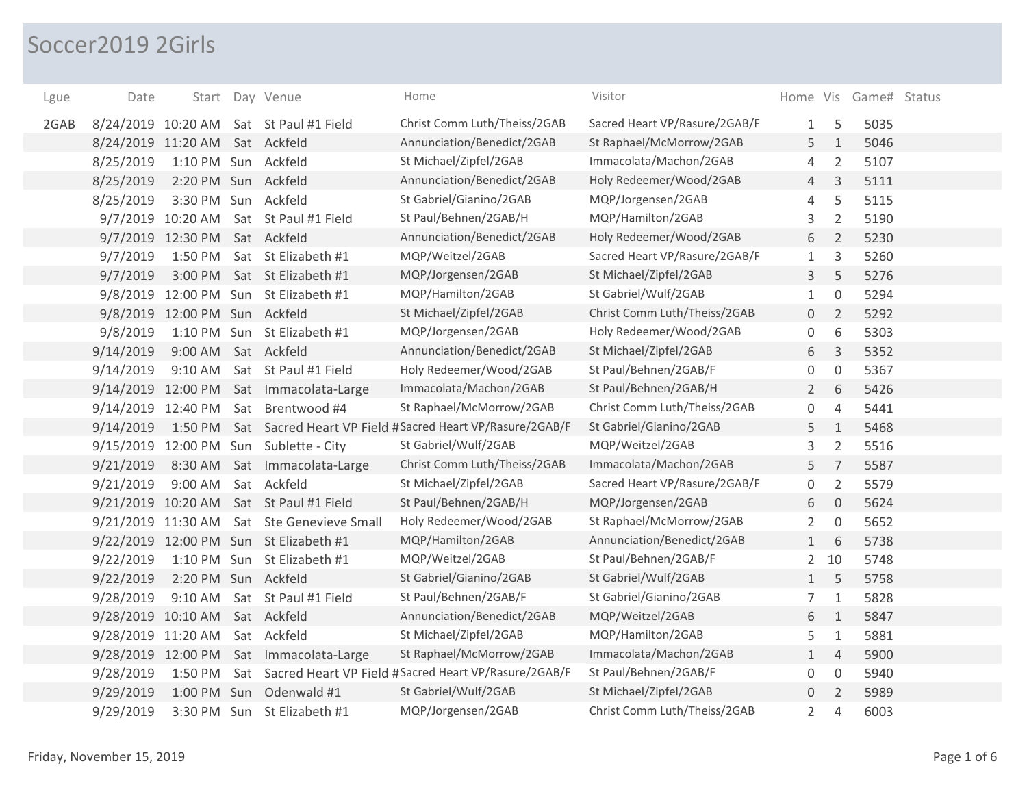## Soccer2019 2Girls

| Lgue | Date                           |                               | Start Day Venue                         | Home                                                             | Visitor                       |                |                | Home Vis Game# Status |  |
|------|--------------------------------|-------------------------------|-----------------------------------------|------------------------------------------------------------------|-------------------------------|----------------|----------------|-----------------------|--|
| 2GAB |                                |                               | 8/24/2019 10:20 AM Sat St Paul #1 Field | Christ Comm Luth/Theiss/2GAB                                     | Sacred Heart VP/Rasure/2GAB/F | 1              | 5              | 5035                  |  |
|      | 8/24/2019 11:20 AM Sat Ackfeld |                               |                                         | Annunciation/Benedict/2GAB                                       | St Raphael/McMorrow/2GAB      | 5              | $1\,$          | 5046                  |  |
|      | 8/25/2019                      | 1:10 PM Sun Ackfeld           |                                         | St Michael/Zipfel/2GAB                                           | Immacolata/Machon/2GAB        | 4              | $\overline{2}$ | 5107                  |  |
|      | 8/25/2019                      | 2:20 PM Sun Ackfeld           |                                         | Annunciation/Benedict/2GAB                                       | Holy Redeemer/Wood/2GAB       | 4              | 3              | 5111                  |  |
|      | 8/25/2019                      | 3:30 PM Sun                   | Ackfeld                                 | St Gabriel/Gianino/2GAB                                          | MQP/Jorgensen/2GAB            | 4              | 5              | 5115                  |  |
|      |                                | 9/7/2019 10:20 AM             | Sat St Paul #1 Field                    | St Paul/Behnen/2GAB/H                                            | MQP/Hamilton/2GAB             | 3              | $\overline{2}$ | 5190                  |  |
|      |                                | 9/7/2019 12:30 PM             | Sat Ackfeld                             | Annunciation/Benedict/2GAB                                       | Holy Redeemer/Wood/2GAB       | 6              | 2              | 5230                  |  |
|      | 9/7/2019                       | 1:50 PM                       | Sat St Elizabeth #1                     | MQP/Weitzel/2GAB                                                 | Sacred Heart VP/Rasure/2GAB/F | 1              | 3              | 5260                  |  |
|      | 9/7/2019                       | 3:00 PM                       | Sat St Elizabeth #1                     | MQP/Jorgensen/2GAB                                               | St Michael/Zipfel/2GAB        | 3              | 5              | 5276                  |  |
|      | 9/8/2019                       |                               | 12:00 PM Sun St Elizabeth #1            | MQP/Hamilton/2GAB                                                | St Gabriel/Wulf/2GAB          | $\mathbf{1}$   | $\mathbf 0$    | 5294                  |  |
|      |                                | 9/8/2019 12:00 PM Sun Ackfeld |                                         | St Michael/Zipfel/2GAB                                           | Christ Comm Luth/Theiss/2GAB  | $\overline{0}$ | $\overline{2}$ | 5292                  |  |
|      | 9/8/2019                       |                               | 1:10 PM Sun St Elizabeth #1             | MQP/Jorgensen/2GAB                                               | Holy Redeemer/Wood/2GAB       | 0              | 6              | 5303                  |  |
|      | 9/14/2019                      | 9:00 AM Sat Ackfeld           |                                         | Annunciation/Benedict/2GAB                                       | St Michael/Zipfel/2GAB        | 6              | $\overline{3}$ | 5352                  |  |
|      | 9/14/2019                      | 9:10 AM                       | Sat St Paul #1 Field                    | Holy Redeemer/Wood/2GAB                                          | St Paul/Behnen/2GAB/F         | 0              | $\overline{0}$ | 5367                  |  |
|      |                                |                               | 9/14/2019 12:00 PM Sat Immacolata-Large | Immacolata/Machon/2GAB                                           | St Paul/Behnen/2GAB/H         | $\overline{2}$ | 6              | 5426                  |  |
|      | 9/14/2019 12:40 PM             |                               | Sat Brentwood #4                        | St Raphael/McMorrow/2GAB                                         | Christ Comm Luth/Theiss/2GAB  | $\mathbf 0$    | $\overline{4}$ | 5441                  |  |
|      | 9/14/2019                      |                               |                                         | 1:50 PM Sat Sacred Heart VP Field #Sacred Heart VP/Rasure/2GAB/F | St Gabriel/Gianino/2GAB       | 5              | $\mathbf{1}$   | 5468                  |  |
|      |                                |                               | 9/15/2019 12:00 PM Sun Sublette - City  | St Gabriel/Wulf/2GAB                                             | MQP/Weitzel/2GAB              | 3              | $\overline{2}$ | 5516                  |  |
|      | 9/21/2019                      |                               | 8:30 AM Sat Immacolata-Large            | Christ Comm Luth/Theiss/2GAB                                     | Immacolata/Machon/2GAB        | 5              | $\overline{7}$ | 5587                  |  |
|      | 9/21/2019                      | $9:00$ AM                     | Sat Ackfeld                             | St Michael/Zipfel/2GAB                                           | Sacred Heart VP/Rasure/2GAB/F | $\mathbf 0$    | $\overline{2}$ | 5579                  |  |
|      |                                |                               | 9/21/2019 10:20 AM Sat St Paul #1 Field | St Paul/Behnen/2GAB/H                                            | MQP/Jorgensen/2GAB            | 6              | $\overline{0}$ | 5624                  |  |
|      | 9/21/2019 11:30 AM             |                               | Sat Ste Genevieve Small                 | Holy Redeemer/Wood/2GAB                                          | St Raphael/McMorrow/2GAB      | $\overline{2}$ | $\overline{0}$ | 5652                  |  |
|      |                                |                               | 9/22/2019 12:00 PM Sun St Elizabeth #1  | MQP/Hamilton/2GAB                                                | Annunciation/Benedict/2GAB    | $\mathbf{1}$   | 6              | 5738                  |  |
|      | 9/22/2019                      |                               | 1:10 PM Sun St Elizabeth #1             | MQP/Weitzel/2GAB                                                 | St Paul/Behnen/2GAB/F         | $2^{\circ}$    | 10             | 5748                  |  |
|      | 9/22/2019                      | 2:20 PM Sun Ackfeld           |                                         | St Gabriel/Gianino/2GAB                                          | St Gabriel/Wulf/2GAB          | $\mathbf{1}$   | 5              | 5758                  |  |
|      | 9/28/2019                      | 9:10 AM                       | Sat St Paul #1 Field                    | St Paul/Behnen/2GAB/F                                            | St Gabriel/Gianino/2GAB       | 7              | $1\,$          | 5828                  |  |
|      | 9/28/2019 10:10 AM             |                               | Sat Ackfeld                             | Annunciation/Benedict/2GAB                                       | MQP/Weitzel/2GAB              | 6              | $\mathbf{1}$   | 5847                  |  |
|      | 9/28/2019 11:20 AM             |                               | Sat Ackfeld                             | St Michael/Zipfel/2GAB                                           | MQP/Hamilton/2GAB             | 5              | $\mathbf{1}$   | 5881                  |  |
|      | 9/28/2019 12:00 PM             |                               | Sat Immacolata-Large                    | St Raphael/McMorrow/2GAB                                         | Immacolata/Machon/2GAB        | $\mathbf{1}$   | $\overline{4}$ | 5900                  |  |
|      | 9/28/2019                      | 1:50 PM                       |                                         | Sat Sacred Heart VP Field #Sacred Heart VP/Rasure/2GAB/F         | St Paul/Behnen/2GAB/F         | 0              | $\mathbf 0$    | 5940                  |  |
|      | 9/29/2019                      | 1:00 PM Sun                   | Odenwald #1                             | St Gabriel/Wulf/2GAB                                             | St Michael/Zipfel/2GAB        | $\overline{0}$ | $\overline{2}$ | 5989                  |  |
|      | 9/29/2019                      | 3:30 PM Sun                   | St Elizabeth #1                         | MQP/Jorgensen/2GAB                                               | Christ Comm Luth/Theiss/2GAB  | $\overline{2}$ | 4              | 6003                  |  |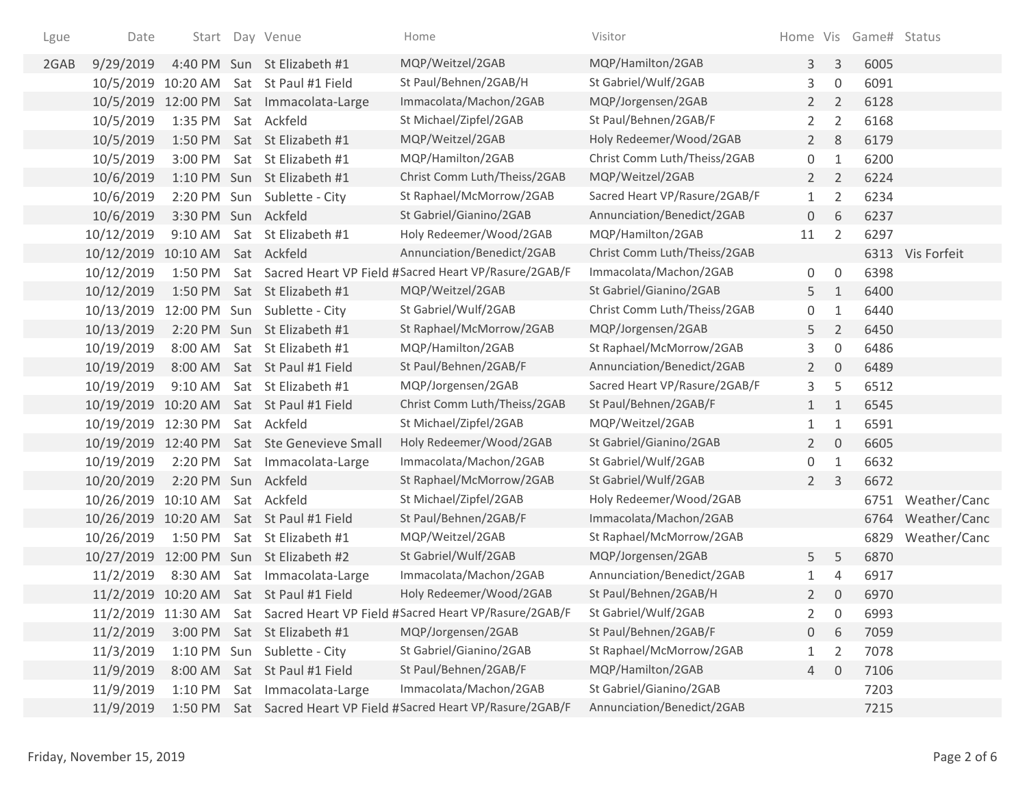| Lgue | Date                |                     | Start Day Venue                          | Home                                                              | Visitor                       |                |                     | Home Vis Game# Status |                  |
|------|---------------------|---------------------|------------------------------------------|-------------------------------------------------------------------|-------------------------------|----------------|---------------------|-----------------------|------------------|
| 2GAB | 9/29/2019           |                     | 4:40 PM Sun St Elizabeth #1              | MQP/Weitzel/2GAB                                                  | MQP/Hamilton/2GAB             | 3 <sup>1</sup> | $\mathsf{3}$        | 6005                  |                  |
|      |                     |                     | 10/5/2019 10:20 AM Sat St Paul #1 Field  | St Paul/Behnen/2GAB/H                                             | St Gabriel/Wulf/2GAB          | 3              | $\mathbf 0$         | 6091                  |                  |
|      |                     |                     | 10/5/2019 12:00 PM Sat Immacolata-Large  | Immacolata/Machon/2GAB                                            | MQP/Jorgensen/2GAB            | $2^{\circ}$    | $\overline{2}$      | 6128                  |                  |
|      | 10/5/2019           | 1:35 PM             | Sat Ackfeld                              | St Michael/Zipfel/2GAB                                            | St Paul/Behnen/2GAB/F         | $\overline{2}$ | $\overline{2}$      | 6168                  |                  |
|      | 10/5/2019           | 1:50 PM             | Sat St Elizabeth #1                      | MQP/Weitzel/2GAB                                                  | Holy Redeemer/Wood/2GAB       | $\overline{2}$ | 8                   | 6179                  |                  |
|      | 10/5/2019           | 3:00 PM             | Sat St Elizabeth #1                      | MQP/Hamilton/2GAB                                                 | Christ Comm Luth/Theiss/2GAB  | 0              | 1                   | 6200                  |                  |
|      | 10/6/2019           |                     | 1:10 PM Sun St Elizabeth #1              | Christ Comm Luth/Theiss/2GAB                                      | MQP/Weitzel/2GAB              | $2^{\circ}$    | 2                   | 6224                  |                  |
|      | 10/6/2019           |                     | 2:20 PM Sun Sublette - City              | St Raphael/McMorrow/2GAB                                          | Sacred Heart VP/Rasure/2GAB/F | $\mathbf{1}$   | $\overline{2}$      | 6234                  |                  |
|      | 10/6/2019           | 3:30 PM Sun Ackfeld |                                          | St Gabriel/Gianino/2GAB                                           | Annunciation/Benedict/2GAB    | 0              | 6                   | 6237                  |                  |
|      | 10/12/2019          | $9:10$ AM           | Sat St Elizabeth #1                      | Holy Redeemer/Wood/2GAB                                           | MQP/Hamilton/2GAB             | 11             | $\overline{2}$      | 6297                  |                  |
|      | 10/12/2019 10:10 AM |                     | Sat Ackfeld                              | Annunciation/Benedict/2GAB                                        | Christ Comm Luth/Theiss/2GAB  |                |                     |                       | 6313 Vis Forfeit |
|      | 10/12/2019          | 1:50 PM             |                                          | Sat Sacred Heart VP Field #Sacred Heart VP/Rasure/2GAB/F          | Immacolata/Machon/2GAB        | 0              | $\mathsf{O}\xspace$ | 6398                  |                  |
|      | 10/12/2019          |                     | 1:50 PM Sat St Elizabeth #1              | MQP/Weitzel/2GAB                                                  | St Gabriel/Gianino/2GAB       | 5              | $\mathbf{1}$        | 6400                  |                  |
|      | 10/13/2019          |                     | 12:00 PM Sun Sublette - City             | St Gabriel/Wulf/2GAB                                              | Christ Comm Luth/Theiss/2GAB  | 0              | $\mathbf{1}$        | 6440                  |                  |
|      | 10/13/2019          |                     | 2:20 PM Sun St Elizabeth #1              | St Raphael/McMorrow/2GAB                                          | MQP/Jorgensen/2GAB            | 5              | $\overline{2}$      | 6450                  |                  |
|      | 10/19/2019          | 8:00 AM             | Sat St Elizabeth #1                      | MQP/Hamilton/2GAB                                                 | St Raphael/McMorrow/2GAB      | 3              | $\mathbf 0$         | 6486                  |                  |
|      | 10/19/2019          |                     | 8:00 AM Sat St Paul #1 Field             | St Paul/Behnen/2GAB/F                                             | Annunciation/Benedict/2GAB    | $2^{\circ}$    | $\overline{0}$      | 6489                  |                  |
|      | 10/19/2019          |                     | 9:10 AM Sat St Elizabeth #1              | MQP/Jorgensen/2GAB                                                | Sacred Heart VP/Rasure/2GAB/F | 3              | 5                   | 6512                  |                  |
|      |                     |                     | 10/19/2019 10:20 AM Sat St Paul #1 Field | Christ Comm Luth/Theiss/2GAB                                      | St Paul/Behnen/2GAB/F         | $\mathbf{1}$   | $\mathbf{1}$        | 6545                  |                  |
|      | 10/19/2019 12:30 PM |                     | Sat Ackfeld                              | St Michael/Zipfel/2GAB                                            | MQP/Weitzel/2GAB              | $\mathbf{1}$   | $\mathbf{1}$        | 6591                  |                  |
|      | 10/19/2019          | 12:40 PM            | Sat Ste Genevieve Small                  | Holy Redeemer/Wood/2GAB                                           | St Gabriel/Gianino/2GAB       | $2^{\circ}$    | $\overline{0}$      | 6605                  |                  |
|      | 10/19/2019          | 2:20 PM             | Sat Immacolata-Large                     | Immacolata/Machon/2GAB                                            | St Gabriel/Wulf/2GAB          | 0              | $\mathbf{1}$        | 6632                  |                  |
|      | 10/20/2019          | 2:20 PM Sun Ackfeld |                                          | St Raphael/McMorrow/2GAB                                          | St Gabriel/Wulf/2GAB          | $2^{\circ}$    | $\overline{3}$      | 6672                  |                  |
|      | 10/26/2019          | 10:10 AM            | Sat Ackfeld                              | St Michael/Zipfel/2GAB                                            | Holy Redeemer/Wood/2GAB       |                |                     | 6751                  | Weather/Canc     |
|      | 10/26/2019 10:20 AM |                     | Sat St Paul #1 Field                     | St Paul/Behnen/2GAB/F                                             | Immacolata/Machon/2GAB        |                |                     | 6764                  | Weather/Canc     |
|      | 10/26/2019          | 1:50 PM             | Sat St Elizabeth #1                      | MQP/Weitzel/2GAB                                                  | St Raphael/McMorrow/2GAB      |                |                     | 6829                  | Weather/Canc     |
|      |                     |                     | 10/27/2019 12:00 PM Sun St Elizabeth #2  | St Gabriel/Wulf/2GAB                                              | MQP/Jorgensen/2GAB            | 5              | 5                   | 6870                  |                  |
|      | 11/2/2019           |                     | 8:30 AM Sat Immacolata-Large             | Immacolata/Machon/2GAB                                            | Annunciation/Benedict/2GAB    | $\mathbf{1}$   | 4                   | 6917                  |                  |
|      |                     |                     | 11/2/2019 10:20 AM Sat St Paul #1 Field  | Holy Redeemer/Wood/2GAB                                           | St Paul/Behnen/2GAB/H         | $\overline{2}$ | $\mathbf 0$         | 6970                  |                  |
|      | 11/2/2019           |                     |                                          | 11:30 AM Sat Sacred Heart VP Field #Sacred Heart VP/Rasure/2GAB/F | St Gabriel/Wulf/2GAB          | 2              | 0                   | 6993                  |                  |
|      | 11/2/2019           | 3:00 PM             | Sat St Elizabeth #1                      | MQP/Jorgensen/2GAB                                                | St Paul/Behnen/2GAB/F         | $\overline{0}$ | 6                   | 7059                  |                  |
|      | 11/3/2019           |                     | 1:10 PM Sun Sublette - City              | St Gabriel/Gianino/2GAB                                           | St Raphael/McMorrow/2GAB      | 1              | 2                   | 7078                  |                  |
|      | 11/9/2019           | 8:00 AM             | Sat St Paul #1 Field                     | St Paul/Behnen/2GAB/F                                             | MQP/Hamilton/2GAB             | $\overline{4}$ | $\overline{0}$      | 7106                  |                  |
|      | 11/9/2019           | $1:10$ PM           | Sat Immacolata-Large                     | Immacolata/Machon/2GAB                                            | St Gabriel/Gianino/2GAB       |                |                     | 7203                  |                  |
|      | 11/9/2019           | 1:50 PM             |                                          | Sat Sacred Heart VP Field #Sacred Heart VP/Rasure/2GAB/F          | Annunciation/Benedict/2GAB    |                |                     | 7215                  |                  |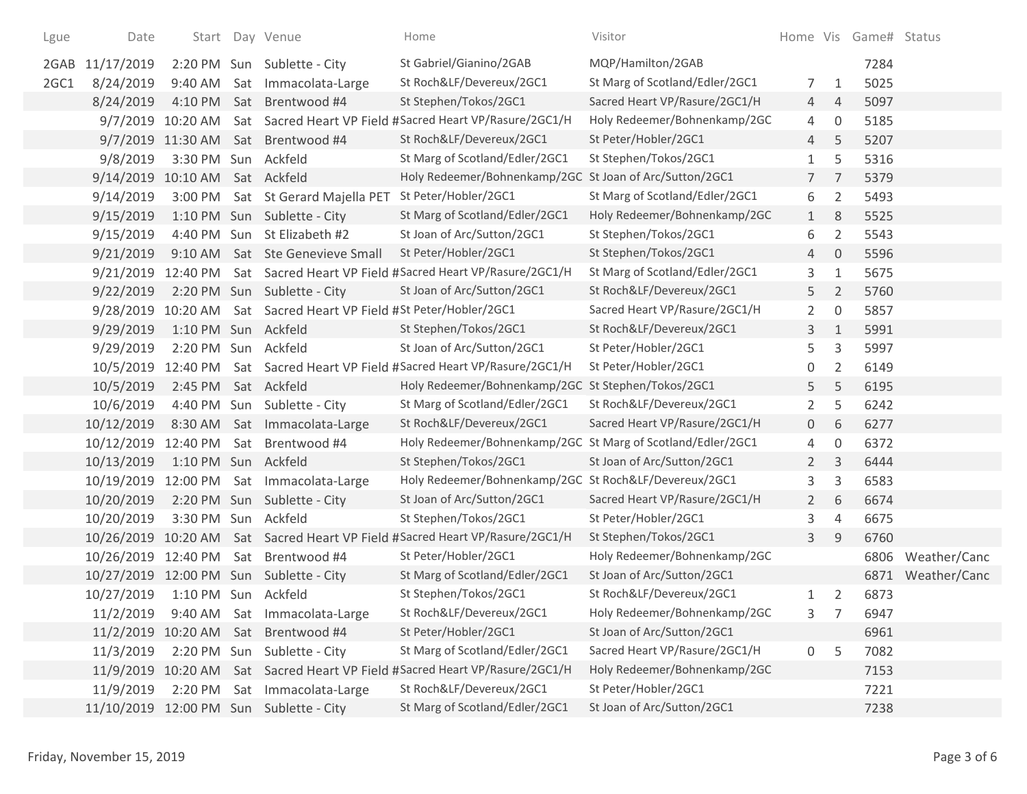| Lgue | Date               |                      | Start Day Venue                                          | Home                                                                         | Visitor                        |                |                     | Home Vis Game# Status |              |
|------|--------------------|----------------------|----------------------------------------------------------|------------------------------------------------------------------------------|--------------------------------|----------------|---------------------|-----------------------|--------------|
| 2GAB | 11/17/2019         |                      | 2:20 PM Sun Sublette - City                              | St Gabriel/Gianino/2GAB                                                      | MQP/Hamilton/2GAB              |                |                     | 7284                  |              |
| 2GC1 | 8/24/2019          |                      | 9:40 AM Sat Immacolata-Large                             | St Roch&LF/Devereux/2GC1                                                     | St Marg of Scotland/Edler/2GC1 | 7              | 1                   | 5025                  |              |
|      | 8/24/2019          |                      | 4:10 PM Sat Brentwood #4                                 | St Stephen/Tokos/2GC1                                                        | Sacred Heart VP/Rasure/2GC1/H  | 4              | $\overline{4}$      | 5097                  |              |
|      |                    |                      |                                                          | 9/7/2019 10:20 AM Sat Sacred Heart VP Field #Sacred Heart VP/Rasure/2GC1/H   | Holy Redeemer/Bohnenkamp/2GC   | 4              | 0                   | 5185                  |              |
|      |                    |                      | 9/7/2019 11:30 AM Sat Brentwood #4                       | St Roch&LF/Devereux/2GC1                                                     | St Peter/Hobler/2GC1           | 4              | 5                   | 5207                  |              |
|      | 9/8/2019           | 3:30 PM Sun Ackfeld  |                                                          | St Marg of Scotland/Edler/2GC1                                               | St Stephen/Tokos/2GC1          | 1              | 5                   | 5316                  |              |
|      | 9/14/2019          | 10:10 AM Sat Ackfeld |                                                          | Holy Redeemer/Bohnenkamp/2GC St Joan of Arc/Sutton/2GC1                      |                                | $\overline{7}$ | $\overline{7}$      | 5379                  |              |
|      | 9/14/2019          | 3:00 PM              | Sat St Gerard Majella PET                                | St Peter/Hobler/2GC1                                                         | St Marg of Scotland/Edler/2GC1 | 6              | $\overline{2}$      | 5493                  |              |
|      | 9/15/2019          |                      | 1:10 PM Sun Sublette - City                              | St Marg of Scotland/Edler/2GC1                                               | Holy Redeemer/Bohnenkamp/2GC   | $\mathbf{1}$   | 8                   | 5525                  |              |
|      | 9/15/2019          |                      | 4:40 PM Sun St Elizabeth #2                              | St Joan of Arc/Sutton/2GC1                                                   | St Stephen/Tokos/2GC1          | 6              | $\overline{2}$      | 5543                  |              |
|      | 9/21/2019          |                      | 9:10 AM Sat Ste Genevieve Small                          | St Peter/Hobler/2GC1                                                         | St Stephen/Tokos/2GC1          | 4              | $\overline{0}$      | 5596                  |              |
|      | 9/21/2019 12:40 PM |                      |                                                          | Sat Sacred Heart VP Field #Sacred Heart VP/Rasure/2GC1/H                     | St Marg of Scotland/Edler/2GC1 | 3              | $1\,$               | 5675                  |              |
|      | 9/22/2019          |                      | 2:20 PM Sun Sublette - City                              | St Joan of Arc/Sutton/2GC1                                                   | St Roch&LF/Devereux/2GC1       | 5              | $\overline{2}$      | 5760                  |              |
|      | 9/28/2019          |                      | 10:20 AM Sat Sacred Heart VP Field #St Peter/Hobler/2GC1 |                                                                              | Sacred Heart VP/Rasure/2GC1/H  | $\overline{2}$ | $\mathsf{O}\xspace$ | 5857                  |              |
|      | 9/29/2019          | 1:10 PM Sun Ackfeld  |                                                          | St Stephen/Tokos/2GC1                                                        | St Roch&LF/Devereux/2GC1       | 3              | $\mathbf{1}$        | 5991                  |              |
|      | 9/29/2019          | 2:20 PM Sun Ackfeld  |                                                          | St Joan of Arc/Sutton/2GC1                                                   | St Peter/Hobler/2GC1           | 5              | 3                   | 5997                  |              |
|      | 10/5/2019          |                      |                                                          | 12:40 PM Sat Sacred Heart VP Field #Sacred Heart VP/Rasure/2GC1/H            | St Peter/Hobler/2GC1           | 0              | 2                   | 6149                  |              |
|      | 10/5/2019          | 2:45 PM Sat Ackfeld  |                                                          | Holy Redeemer/Bohnenkamp/2GC St Stephen/Tokos/2GC1                           |                                | 5              | 5                   | 6195                  |              |
|      | 10/6/2019          |                      | 4:40 PM Sun Sublette - City                              | St Marg of Scotland/Edler/2GC1                                               | St Roch&LF/Devereux/2GC1       | $\overline{2}$ | 5                   | 6242                  |              |
|      | 10/12/2019         |                      | 8:30 AM Sat Immacolata-Large                             | St Roch&LF/Devereux/2GC1                                                     | Sacred Heart VP/Rasure/2GC1/H  | $\overline{0}$ | 6                   | 6277                  |              |
|      |                    |                      | 10/12/2019 12:40 PM Sat Brentwood #4                     | Holy Redeemer/Bohnenkamp/2GC St Marg of Scotland/Edler/2GC1                  |                                | 4              | $\mathbf 0$         | 6372                  |              |
|      | 10/13/2019         | 1:10 PM Sun Ackfeld  |                                                          | St Stephen/Tokos/2GC1                                                        | St Joan of Arc/Sutton/2GC1     | $\overline{2}$ | 3                   | 6444                  |              |
|      | 10/19/2019         |                      | 12:00 PM Sat Immacolata-Large                            | Holy Redeemer/Bohnenkamp/2GC St Roch&LF/Devereux/2GC1                        |                                | 3              | 3                   | 6583                  |              |
|      | 10/20/2019         |                      | 2:20 PM Sun Sublette - City                              | St Joan of Arc/Sutton/2GC1                                                   | Sacred Heart VP/Rasure/2GC1/H  | $\overline{2}$ | 6                   | 6674                  |              |
|      | 10/20/2019         | 3:30 PM Sun Ackfeld  |                                                          | St Stephen/Tokos/2GC1                                                        | St Peter/Hobler/2GC1           | 3              | 4                   | 6675                  |              |
|      |                    |                      |                                                          | 10/26/2019 10:20 AM Sat Sacred Heart VP Field #Sacred Heart VP/Rasure/2GC1/H | St Stephen/Tokos/2GC1          | 3              | 9                   | 6760                  |              |
|      |                    |                      | 10/26/2019 12:40 PM Sat Brentwood #4                     | St Peter/Hobler/2GC1                                                         | Holy Redeemer/Bohnenkamp/2GC   |                |                     | 6806                  | Weather/Canc |
|      |                    |                      | 10/27/2019 12:00 PM Sun Sublette - City                  | St Marg of Scotland/Edler/2GC1                                               | St Joan of Arc/Sutton/2GC1     |                |                     | 6871                  | Weather/Canc |
|      | 10/27/2019         | 1:10 PM Sun Ackfeld  |                                                          | St Stephen/Tokos/2GC1                                                        | St Roch&LF/Devereux/2GC1       | 1              | 2                   | 6873                  |              |
|      | 11/2/2019          |                      | 9:40 AM Sat Immacolata-Large                             | St Roch&LF/Devereux/2GC1                                                     | Holy Redeemer/Bohnenkamp/2GC   | 3              |                     | 6947                  |              |
|      |                    |                      | 11/2/2019 10:20 AM Sat Brentwood #4                      | St Peter/Hobler/2GC1                                                         | St Joan of Arc/Sutton/2GC1     |                |                     | 6961                  |              |
|      | 11/3/2019          |                      | 2:20 PM Sun Sublette - City                              | St Marg of Scotland/Edler/2GC1                                               | Sacred Heart VP/Rasure/2GC1/H  | 0              | 5                   | 7082                  |              |
|      |                    |                      |                                                          | 11/9/2019 10:20 AM Sat Sacred Heart VP Field #Sacred Heart VP/Rasure/2GC1/H  | Holy Redeemer/Bohnenkamp/2GC   |                |                     | 7153                  |              |
|      | 11/9/2019          |                      | 2:20 PM Sat Immacolata-Large                             | St Roch&LF/Devereux/2GC1                                                     | St Peter/Hobler/2GC1           |                |                     | 7221                  |              |
|      |                    |                      | 11/10/2019 12:00 PM Sun Sublette - City                  | St Marg of Scotland/Edler/2GC1                                               | St Joan of Arc/Sutton/2GC1     |                |                     | 7238                  |              |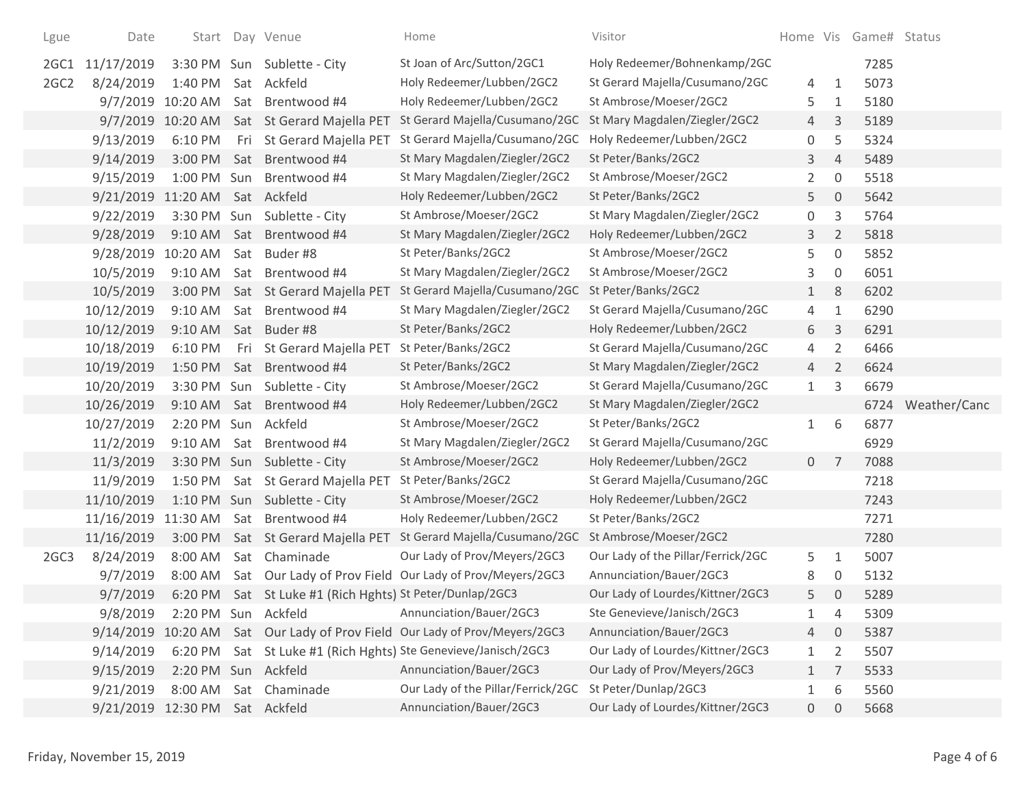| Lgue             | Date                           |                     |     | Start Day Venue                                          | Home                                                                       | Visitor                            |                |                     | Home Vis Game# Status |              |
|------------------|--------------------------------|---------------------|-----|----------------------------------------------------------|----------------------------------------------------------------------------|------------------------------------|----------------|---------------------|-----------------------|--------------|
| 2GC1             | 11/17/2019                     |                     |     | 3:30 PM Sun Sublette - City                              | St Joan of Arc/Sutton/2GC1                                                 | Holy Redeemer/Bohnenkamp/2GC       |                |                     | 7285                  |              |
| 2GC <sub>2</sub> | 8/24/2019                      | 1:40 PM             |     | Sat Ackfeld                                              | Holy Redeemer/Lubben/2GC2                                                  | St Gerard Majella/Cusumano/2GC     | 4              | $\mathbf{1}$        | 5073                  |              |
|                  | 9/7/2019 10:20 AM              |                     | Sat | Brentwood #4                                             | Holy Redeemer/Lubben/2GC2                                                  | St Ambrose/Moeser/2GC2             | 5              | 1                   | 5180                  |              |
|                  |                                | 9/7/2019 10:20 AM   |     | Sat St Gerard Majella PET                                | St Gerard Majella/Cusumano/2GC                                             | St Mary Magdalen/Ziegler/2GC2      | 4              | 3                   | 5189                  |              |
|                  | 9/13/2019                      | 6:10 PM             | Fri | St Gerard Majella PET                                    | St Gerard Majella/Cusumano/2GC                                             | Holy Redeemer/Lubben/2GC2          | 0              | 5                   | 5324                  |              |
|                  | 9/14/2019                      | 3:00 PM             | Sat | Brentwood #4                                             | St Mary Magdalen/Ziegler/2GC2                                              | St Peter/Banks/2GC2                | 3              | 4                   | 5489                  |              |
|                  | 9/15/2019                      | 1:00 PM Sun         |     | Brentwood #4                                             | St Mary Magdalen/Ziegler/2GC2                                              | St Ambrose/Moeser/2GC2             | $\overline{2}$ | $\boldsymbol{0}$    | 5518                  |              |
|                  | 9/21/2019 11:20 AM             |                     |     | Sat Ackfeld                                              | Holy Redeemer/Lubben/2GC2                                                  | St Peter/Banks/2GC2                | 5              | $\mathbf 0$         | 5642                  |              |
|                  | 9/22/2019                      | 3:30 PM Sun         |     | Sublette - City                                          | St Ambrose/Moeser/2GC2                                                     | St Mary Magdalen/Ziegler/2GC2      | 0              | 3                   | 5764                  |              |
|                  | 9/28/2019                      | 9:10 AM             | Sat | Brentwood #4                                             | St Mary Magdalen/Ziegler/2GC2                                              | Holy Redeemer/Lubben/2GC2          | 3              | $\overline{2}$      | 5818                  |              |
|                  | 9/28/2019                      | 10:20 AM            | Sat | Buder #8                                                 | St Peter/Banks/2GC2                                                        | St Ambrose/Moeser/2GC2             | 5              | $\mathsf{O}\xspace$ | 5852                  |              |
|                  | 10/5/2019                      | 9:10 AM             | Sat | Brentwood #4                                             | St Mary Magdalen/Ziegler/2GC2                                              | St Ambrose/Moeser/2GC2             | 3              | 0                   | 6051                  |              |
|                  | 10/5/2019                      | 3:00 PM             |     | Sat St Gerard Majella PET                                | St Gerard Majella/Cusumano/2GC                                             | St Peter/Banks/2GC2                | $\mathbf{1}$   | 8                   | 6202                  |              |
|                  | 10/12/2019                     | 9:10 AM             |     | Sat Brentwood #4                                         | St Mary Magdalen/Ziegler/2GC2                                              | St Gerard Majella/Cusumano/2GC     | 4              | $1\,$               | 6290                  |              |
|                  | 10/12/2019                     | 9:10 AM             |     | Sat Buder#8                                              | St Peter/Banks/2GC2                                                        | Holy Redeemer/Lubben/2GC2          | 6              | $\mathsf{3}$        | 6291                  |              |
|                  | 10/18/2019                     | 6:10 PM             | Fri | St Gerard Majella PET                                    | St Peter/Banks/2GC2                                                        | St Gerard Majella/Cusumano/2GC     | 4              | $\overline{2}$      | 6466                  |              |
|                  | 10/19/2019                     | 1:50 PM             |     | Sat Brentwood #4                                         | St Peter/Banks/2GC2                                                        | St Mary Magdalen/Ziegler/2GC2      | 4              | $\overline{2}$      | 6624                  |              |
|                  | 10/20/2019                     | 3:30 PM Sun         |     | Sublette - City                                          | St Ambrose/Moeser/2GC2                                                     | St Gerard Majella/Cusumano/2GC     | $\mathbf{1}$   | 3                   | 6679                  |              |
|                  | 10/26/2019                     | 9:10 AM             | Sat | Brentwood #4                                             | Holy Redeemer/Lubben/2GC2                                                  | St Mary Magdalen/Ziegler/2GC2      |                |                     | 6724                  | Weather/Canc |
|                  | 10/27/2019                     | 2:20 PM Sun Ackfeld |     |                                                          | St Ambrose/Moeser/2GC2                                                     | St Peter/Banks/2GC2                | $\mathbf{1}$   | 6                   | 6877                  |              |
|                  | 11/2/2019                      | 9:10 AM             |     | Sat Brentwood #4                                         | St Mary Magdalen/Ziegler/2GC2                                              | St Gerard Majella/Cusumano/2GC     |                |                     | 6929                  |              |
|                  | 11/3/2019                      |                     |     | 3:30 PM Sun Sublette - City                              | St Ambrose/Moeser/2GC2                                                     | Holy Redeemer/Lubben/2GC2          | $\overline{0}$ | 7                   | 7088                  |              |
|                  | 11/9/2019                      | 1:50 PM             |     | Sat St Gerard Majella PET                                | St Peter/Banks/2GC2                                                        | St Gerard Majella/Cusumano/2GC     |                |                     | 7218                  |              |
|                  | 11/10/2019                     |                     |     | 1:10 PM Sun Sublette - City                              | St Ambrose/Moeser/2GC2                                                     | Holy Redeemer/Lubben/2GC2          |                |                     | 7243                  |              |
|                  | 11/16/2019 11:30 AM            |                     |     | Sat Brentwood #4                                         | Holy Redeemer/Lubben/2GC2                                                  | St Peter/Banks/2GC2                |                |                     | 7271                  |              |
|                  | 11/16/2019                     | 3:00 PM             |     | Sat St Gerard Majella PET                                | St Gerard Majella/Cusumano/2GC                                             | St Ambrose/Moeser/2GC2             |                |                     | 7280                  |              |
| 2GC3             | 8/24/2019                      | 8:00 AM             |     | Sat Chaminade                                            | Our Lady of Prov/Meyers/2GC3                                               | Our Lady of the Pillar/Ferrick/2GC | 5              | $\mathbf{1}$        | 5007                  |              |
|                  | 9/7/2019                       | 8:00 AM             |     | Sat Our Lady of Prov Field                               | Our Lady of Prov/Meyers/2GC3                                               | Annunciation/Bauer/2GC3            | 8              | 0                   | 5132                  |              |
|                  | 9/7/2019                       |                     |     | 6:20 PM Sat St Luke #1 (Rich Hghts) St Peter/Dunlap/2GC3 |                                                                            | Our Lady of Lourdes/Kittner/2GC3   | 5              | $\overline{0}$      | 5289                  |              |
|                  | 9/8/2019                       | 2:20 PM Sun Ackfeld |     |                                                          | Annunciation/Bauer/2GC3                                                    | Ste Genevieve/Janisch/2GC3         |                | 4                   | 5309                  |              |
|                  |                                |                     |     |                                                          | 9/14/2019 10:20 AM Sat Our Lady of Prov Field Our Lady of Prov/Meyers/2GC3 | Annunciation/Bauer/2GC3            | 4              | 0                   | 5387                  |              |
|                  | 9/14/2019                      | 6:20 PM             |     |                                                          | Sat St Luke #1 (Rich Hghts) Ste Genevieve/Janisch/2GC3                     | Our Lady of Lourdes/Kittner/2GC3   | $\mathbf{1}$   | $\overline{2}$      | 5507                  |              |
|                  | 9/15/2019                      | 2:20 PM Sun Ackfeld |     |                                                          | Annunciation/Bauer/2GC3                                                    | Our Lady of Prov/Meyers/2GC3       | 1              | 7                   | 5533                  |              |
|                  | 9/21/2019                      | 8:00 AM             |     | Sat Chaminade                                            | Our Lady of the Pillar/Ferrick/2GC                                         | St Peter/Dunlap/2GC3               | 1              | 6                   | 5560                  |              |
|                  | 9/21/2019 12:30 PM Sat Ackfeld |                     |     |                                                          | Annunciation/Bauer/2GC3                                                    | Our Lady of Lourdes/Kittner/2GC3   | $\overline{0}$ | $\overline{0}$      | 5668                  |              |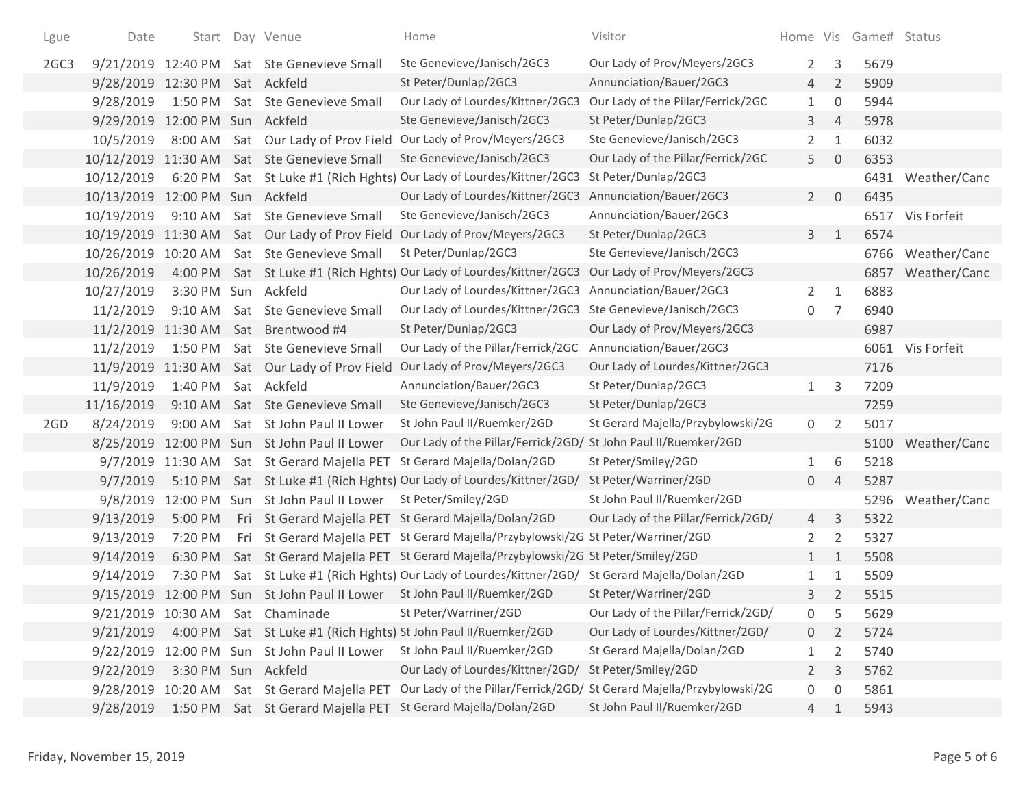| Lgue | Date                |                      | Start Day Venue                            | Home                                                                                     | Visitor                                                               |                |                | Home Vis Game# Status |                   |
|------|---------------------|----------------------|--------------------------------------------|------------------------------------------------------------------------------------------|-----------------------------------------------------------------------|----------------|----------------|-----------------------|-------------------|
| 2GC3 |                     |                      | 9/21/2019 12:40 PM Sat Ste Genevieve Small | Ste Genevieve/Janisch/2GC3                                                               | Our Lady of Prov/Meyers/2GC3                                          | $\overline{2}$ | 3              | 5679                  |                   |
|      | 9/28/2019           | 12:30 PM             | Sat Ackfeld                                | St Peter/Dunlap/2GC3                                                                     | Annunciation/Bauer/2GC3                                               | $\overline{4}$ | $\overline{2}$ | 5909                  |                   |
|      | 9/28/2019           | 1:50 PM              | Sat Ste Genevieve Small                    | Our Lady of Lourdes/Kittner/2GC3                                                         | Our Lady of the Pillar/Ferrick/2GC                                    | 1              | 0              | 5944                  |                   |
|      | 9/29/2019           | 12:00 PM Sun Ackfeld |                                            | Ste Genevieve/Janisch/2GC3                                                               | St Peter/Dunlap/2GC3                                                  | 3              | $\overline{4}$ | 5978                  |                   |
|      | 10/5/2019           | 8:00 AM              | Sat Our Lady of Prov Field                 | Our Lady of Prov/Meyers/2GC3                                                             | Ste Genevieve/Janisch/2GC3                                            | $\overline{2}$ | 1              | 6032                  |                   |
|      | 10/12/2019          | 11:30 AM             | Sat Ste Genevieve Small                    | Ste Genevieve/Janisch/2GC3                                                               | Our Lady of the Pillar/Ferrick/2GC                                    | 5              | $\overline{0}$ | 6353                  |                   |
|      | 10/12/2019          | 6:20 PM              |                                            | Sat St Luke #1 (Rich Hghts) Our Lady of Lourdes/Kittner/2GC3                             | St Peter/Dunlap/2GC3                                                  |                |                |                       | 6431 Weather/Canc |
|      | 10/13/2019          | 12:00 PM Sun Ackfeld |                                            | Our Lady of Lourdes/Kittner/2GC3                                                         | Annunciation/Bauer/2GC3                                               | $2^{\circ}$    | 0              | 6435                  |                   |
|      | 10/19/2019          | $9:10$ AM            | Sat Ste Genevieve Small                    | Ste Genevieve/Janisch/2GC3                                                               | Annunciation/Bauer/2GC3                                               |                |                |                       | 6517 Vis Forfeit  |
|      | 10/19/2019 11:30 AM |                      |                                            | Sat Our Lady of Prov Field Our Lady of Prov/Meyers/2GC3                                  | St Peter/Dunlap/2GC3                                                  | 3              | $\mathbf{1}$   | 6574                  |                   |
|      | 10/26/2019          | 10:20 AM             | Sat Ste Genevieve Small                    | St Peter/Dunlap/2GC3                                                                     | Ste Genevieve/Janisch/2GC3                                            |                |                |                       | 6766 Weather/Canc |
|      | 10/26/2019          | 4:00 PM              |                                            | Sat St Luke #1 (Rich Hghts) Our Lady of Lourdes/Kittner/2GC3                             | Our Lady of Prov/Meyers/2GC3                                          |                |                |                       | 6857 Weather/Canc |
|      | 10/27/2019          | 3:30 PM Sun Ackfeld  |                                            | Our Lady of Lourdes/Kittner/2GC3                                                         | Annunciation/Bauer/2GC3                                               | $\overline{2}$ | 1              | 6883                  |                   |
|      | 11/2/2019           | $9:10$ AM            | Sat Ste Genevieve Small                    | Our Lady of Lourdes/Kittner/2GC3                                                         | Ste Genevieve/Janisch/2GC3                                            | 0              | 7              | 6940                  |                   |
|      | 11/2/2019           | 11:30 AM             | Sat Brentwood #4                           | St Peter/Dunlap/2GC3                                                                     | Our Lady of Prov/Meyers/2GC3                                          |                |                | 6987                  |                   |
|      | 11/2/2019           | 1:50 PM              | Sat Ste Genevieve Small                    | Our Lady of the Pillar/Ferrick/2GC                                                       | Annunciation/Bauer/2GC3                                               |                |                |                       | 6061 Vis Forfeit  |
|      | 11/9/2019 11:30 AM  |                      |                                            | Sat Our Lady of Prov Field Our Lady of Prov/Meyers/2GC3                                  | Our Lady of Lourdes/Kittner/2GC3                                      |                |                | 7176                  |                   |
|      | 11/9/2019           | 1:40 PM              | Sat Ackfeld                                | Annunciation/Bauer/2GC3                                                                  | St Peter/Dunlap/2GC3                                                  | $\mathbf{1}$   | 3              | 7209                  |                   |
|      | 11/16/2019          | 9:10 AM              | Sat Ste Genevieve Small                    | Ste Genevieve/Janisch/2GC3                                                               | St Peter/Dunlap/2GC3                                                  |                |                | 7259                  |                   |
| 2GD  | 8/24/2019           | 9:00 AM              | Sat St John Paul II Lower                  | St John Paul II/Ruemker/2GD                                                              | St Gerard Majella/Przybylowski/2G                                     | 0              | $\overline{2}$ | 5017                  |                   |
|      | 8/25/2019           |                      | 12:00 PM Sun St John Paul II Lower         | Our Lady of the Pillar/Ferrick/2GD/                                                      | St John Paul II/Ruemker/2GD                                           |                |                |                       | 5100 Weather/Canc |
|      |                     | 9/7/2019 11:30 AM    | Sat St Gerard Majella PET                  | St Gerard Majella/Dolan/2GD                                                              | St Peter/Smiley/2GD                                                   | 1              | 6              | 5218                  |                   |
|      | 9/7/2019            | 5:10 PM              |                                            | Sat St Luke #1 (Rich Hghts) Our Lady of Lourdes/Kittner/2GD/                             | St Peter/Warriner/2GD                                                 | $\overline{0}$ | $\overline{4}$ | 5287                  |                   |
|      | 9/8/2019            |                      | 12:00 PM Sun St John Paul II Lower         | St Peter/Smiley/2GD                                                                      | St John Paul II/Ruemker/2GD                                           |                |                |                       | 5296 Weather/Canc |
|      | 9/13/2019           | 5:00 PM              |                                            | Fri St Gerard Majella PET St Gerard Majella/Dolan/2GD                                    | Our Lady of the Pillar/Ferrick/2GD/                                   | 4              | 3              | 5322                  |                   |
|      | 9/13/2019           | 7:20 PM              |                                            | Fri St Gerard Majella PET St Gerard Majella/Przybylowski/2G St Peter/Warriner/2GD        |                                                                       | 2              | $\overline{2}$ | 5327                  |                   |
|      | 9/14/2019           | 6:30 PM              |                                            | Sat St Gerard Majella PET St Gerard Majella/Przybylowski/2G St Peter/Smiley/2GD          |                                                                       | $\mathbf{1}$   | 1              | 5508                  |                   |
|      | 9/14/2019           | 7:30 PM              |                                            | Sat St Luke #1 (Rich Hghts) Our Lady of Lourdes/Kittner/2GD/ St Gerard Majella/Dolan/2GD |                                                                       | 1              | 1              | 5509                  |                   |
|      |                     |                      |                                            | 9/15/2019 12:00 PM Sun St John Paul II Lower St John Paul II/Ruemker/2GD                 | St Peter/Warriner/2GD                                                 | 3              | $\overline{2}$ | 5515                  |                   |
|      |                     |                      | 9/21/2019 10:30 AM Sat Chaminade           | St Peter/Warriner/2GD                                                                    | Our Lady of the Pillar/Ferrick/2GD/                                   | 0              | 5              | 5629                  |                   |
|      | 9/21/2019           |                      |                                            | 4:00 PM Sat St Luke #1 (Rich Hghts) St John Paul II/Ruemker/2GD                          | Our Lady of Lourdes/Kittner/2GD/                                      | $\sigma$       | 2              | 5724                  |                   |
|      | 9/22/2019           |                      | 12:00 PM Sun St John Paul II Lower         | St John Paul II/Ruemker/2GD                                                              | St Gerard Majella/Dolan/2GD                                           | 1              | 2              | 5740                  |                   |
|      | 9/22/2019           | 3:30 PM Sun Ackfeld  |                                            | Our Lady of Lourdes/Kittner/2GD/                                                         | St Peter/Smiley/2GD                                                   | $\overline{2}$ | 3              | 5762                  |                   |
|      | 9/28/2019           | 10:20 AM             | Sat St Gerard Majella PET                  |                                                                                          | Our Lady of the Pillar/Ferrick/2GD/ St Gerard Majella/Przybylowski/2G | 0              | 0              | 5861                  |                   |
|      | 9/28/2019           |                      |                                            | 1:50 PM Sat St Gerard Majella PET St Gerard Majella/Dolan/2GD                            | St John Paul II/Ruemker/2GD                                           | 4              | 1              | 5943                  |                   |